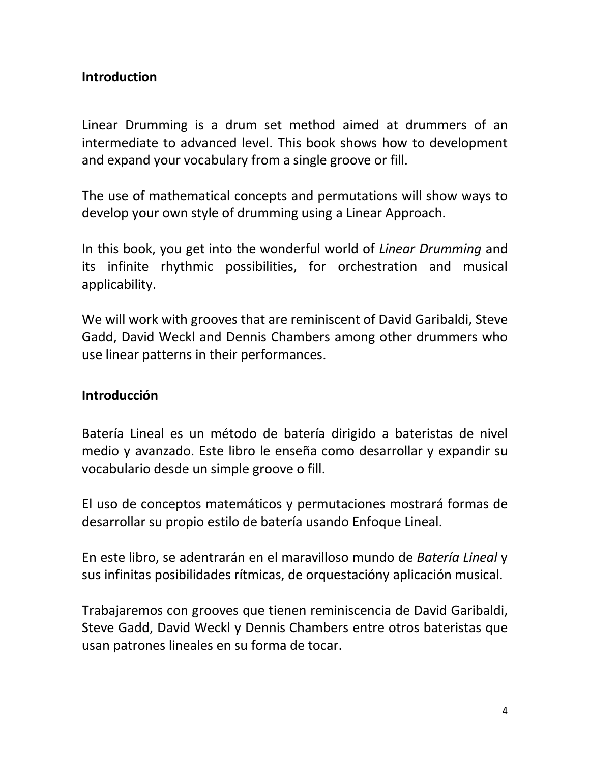## **Introduction**

Linear Drumming is a drum set method aimed at drummers of an intermediate to advanced level. This book shows how to development and expand your vocabulary from a single groove or fill.

The use of mathematical concepts and permutations will show ways to develop your own style of drumming using a Linear Approach.

In this book, you get into the wonderful world of *Linear Drumming* and its infinite rhythmic possibilities, for orchestration and musical applicability.

We will work with grooves that are reminiscent of David Garibaldi, Steve Gadd, David Weckl and Dennis Chambers among other drummers who use linear patterns in their performances.

## **Introducción**

Batería Lineal es un método de batería dirigido a bateristas de nivel medio y avanzado. Este libro le enseña como desarrollar y expandir su vocabulario desde un simple groove o fill.

El uso de conceptos matemáticos y permutaciones mostrará formas de desarrollar su propio estilo de batería usando Enfoque Lineal.

En este libro, se adentrarán en el maravilloso mundo de *Batería Lineal* y sus infinitas posibilidades rítmicas, de orquestacióny aplicación musical.

Trabajaremos con grooves que tienen reminiscencia de David Garibaldi, Steve Gadd, David Weckl y Dennis Chambers entre otros bateristas que usan patrones lineales en su forma de tocar.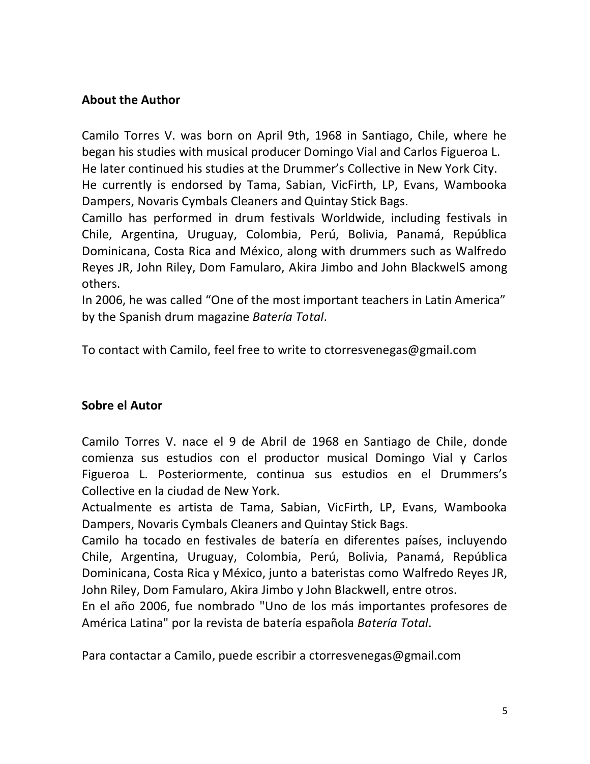### **About the Author**

Camilo Torres V. was born on April 9th, 1968 in Santiago, Chile, where he began his studies with musical producer Domingo Vial and Carlos Figueroa L. He later continued his studies at the Drummer's Collective in New York City. He currently is endorsed by Tama, Sabian, VicFirth, LP, Evans, Wambooka Dampers, Novaris Cymbals Cleaners and Quintay Stick Bags.

Camillo has performed in drum festivals Worldwide, including festivals in Chile, Argentina, Uruguay, Colombia, Perú, Bolivia, Panamá, República Dominicana, Costa Rica and México, along with drummers such as Walfredo Reyes JR, John Riley, Dom Famularo, Akira Jimbo and John BlackwelS among others.

In 2006, he was called "One of the most important teachers in Latin America" by the Spanish drum magazine *Batería Total*.

To contact with Camilo, feel free to write to ctorresvenegas@gmail.com

#### **Sobre el Autor**

Camilo Torres V. nace el 9 de Abril de 1968 en Santiago de Chile, donde comienza sus estudios con el productor musical Domingo Vial y Carlos Figueroa L. Posteriormente, continua sus estudios en el Drummers's Collective en la ciudad de New York.

Actualmente es artista de Tama, Sabian, VicFirth, LP, Evans, Wambooka Dampers, Novaris Cymbals Cleaners and Quintay Stick Bags.

Camilo ha tocado en festivales de batería en diferentes países, incluyendo Chile, Argentina, Uruguay, Colombia, Perú, Bolivia, Panamá, República Dominicana, Costa Rica y México, junto a bateristas como Walfredo Reyes JR, John Riley, Dom Famularo, Akira Jimbo y John Blackwell, entre otros.

En el año 2006, fue nombrado "Uno de los más importantes profesores de América Latina" por la revista de batería española *Batería Total*.

Para contactar a Camilo, puede escribir a ctorresvenegas@gmail.com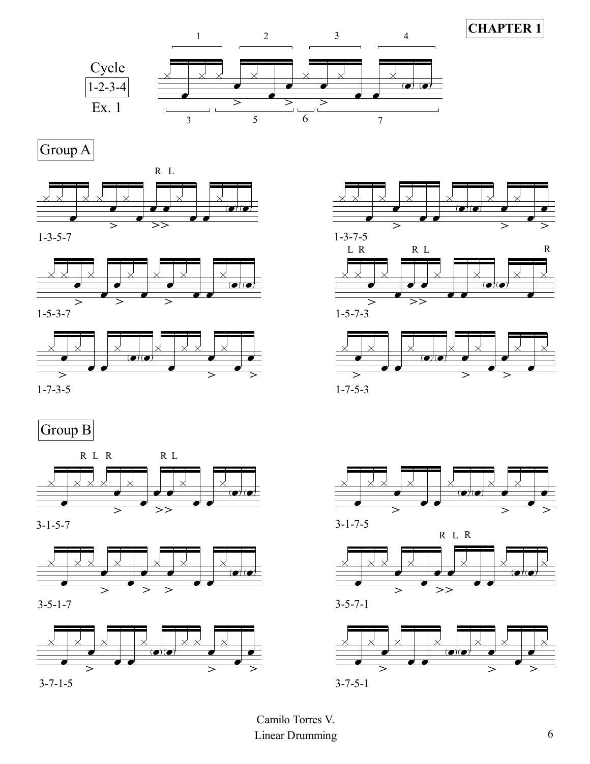

Group A





1-5-3-7



# Group B



3-1-5-7











 $1 - 7 - 5 - 3$ 

1-5-7-3









Linear Drumming 6 Camilo Torres V.